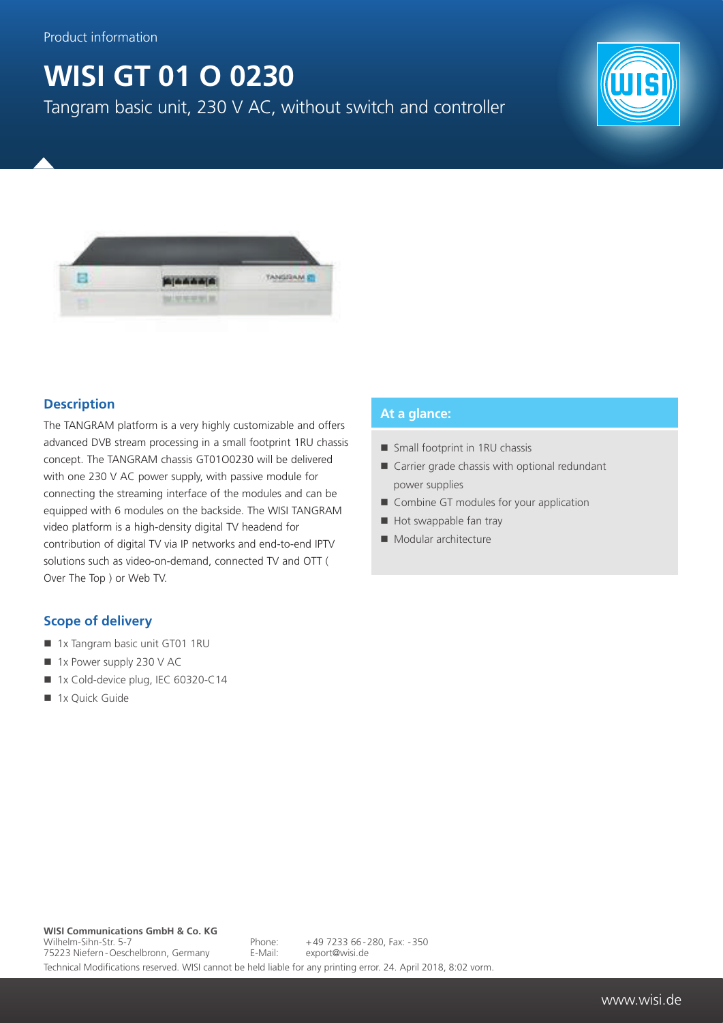# **WISI GT 01 O 0230**

Tangram basic unit, 230 V AC, without switch and controller





### **Description**

The TANGRAM platform is a very highly customizable and offers advanced DVB stream processing in a small footprint 1RU chassis concept. The TANGRAM chassis GT01O0230 will be delivered with one 230 V AC power supply, with passive module for connecting the streaming interface of the modules and can be equipped with 6 modules on the backside. The WISI TANGRAM video platform is a high-density digital TV headend for contribution of digital TV via IP networks and end-to-end IPTV solutions such as video-on-demand, connected TV and OTT ( Over The Top ) or Web TV.

### **Scope of delivery**

- 1x Tangram basic unit GT01 1RU
- $\blacksquare$  1x Power supply 230 V AC
- 1x Cold-device plug, IEC 60320-C14
- 1x Quick Guide

#### **At a glance:**

- Small footprint in 1RU chassis
- Carrier grade chassis with optional redundant power supplies
- Combine GT modules for your application
- Hot swappable fan tray
- Modular architecture